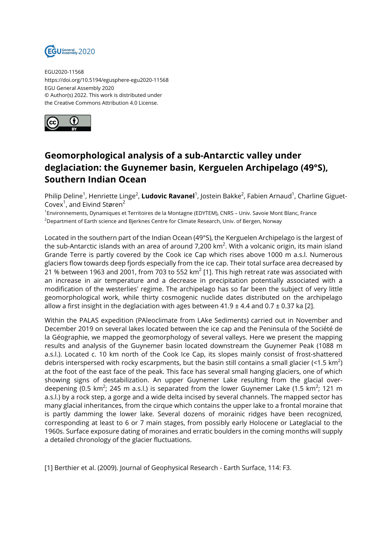

EGU2020-11568 https://doi.org/10.5194/egusphere-egu2020-11568 EGU General Assembly 2020 © Author(s) 2022. This work is distributed under the Creative Commons Attribution 4.0 License.



## **Geomorphological analysis of a sub-Antarctic valley under deglaciation: the Guynemer basin, Kerguelen Archipelago (49°S), Southern Indian Ocean**

Philip Deline<sup>1</sup>, Henriette Linge<sup>2</sup>, **Ludovic Ravanel**<sup>1</sup>, Jostein Bakke<sup>2</sup>, Fabien Arnaud<sup>1</sup>, Charline Giguet-Covex<sup>1</sup>, and Eivind Støren<sup>2</sup>

<sup>1</sup>Environnements, Dynamiques et Territoires de la Montagne (EDYTEM), CNRS – Univ. Savoie Mont Blanc, France  $2$ Department of Earth science and Bierknes Centre for Climate Research, Univ. of Bergen, Norway

Located in the southern part of the Indian Ocean (49°S), the Kerguelen Archipelago is the largest of the sub-Antarctic islands with an area of around 7,200 km $^2$ . With a volcanic origin, its main island Grande Terre is partly covered by the Cook ice Cap which rises above 1000 m a.s.l. Numerous glaciers flow towards deep fjords especially from the ice cap. Their total surface area decreased by 21 % between 1963 and 2001, from 703 to 552 km $^2$  [1]. This high retreat rate was associated with an increase in air temperature and a decrease in precipitation potentially associated with a modification of the westerlies' regime. The archipelago has so far been the subject of very little geomorphological work, while thirty cosmogenic nuclide dates distributed on the archipelago allow a first insight in the deglaciation with ages between  $41.9 \pm 4.4$  and  $0.7 \pm 0.37$  ka [2].

Within the PALAS expedition (PAleoclimate from LAke Sediments) carried out in November and December 2019 on several lakes located between the ice cap and the Peninsula of the Société de la Géographie, we mapped the geomorphology of several valleys. Here we present the mapping results and analysis of the Guynemer basin located downstream the Guynemer Peak (1088 m a.s.l.). Located c. 10 km north of the Cook Ice Cap, its slopes mainly consist of frost-shattered debris interspersed with rocky escarpments, but the basin still contains a small glacier (<1.5 km<sup>2</sup>) at the foot of the east face of the peak. This face has several small hanging glaciers, one of which showing signs of destabilization. An upper Guynemer Lake resulting from the glacial overdeepening (0.5 km $^2$ ; 245 m a.s.l.) is separated from the lower Guynemer Lake (1.5 km $^2$ ; 121 m a.s.l.) by a rock step, a gorge and a wide delta incised by several channels. The mapped sector has many glacial inheritances, from the cirque which contains the upper lake to a frontal moraine that is partly damming the lower lake. Several dozens of morainic ridges have been recognized, corresponding at least to 6 or 7 main stages, from possibly early Holocene or Lateglacial to the 1960s. Surface exposure dating of moraines and erratic boulders in the coming months will supply a detailed chronology of the glacier fluctuations.

[1] Berthier et al. (2009). Journal of Geophysical Research - Earth Surface, 114: F3.